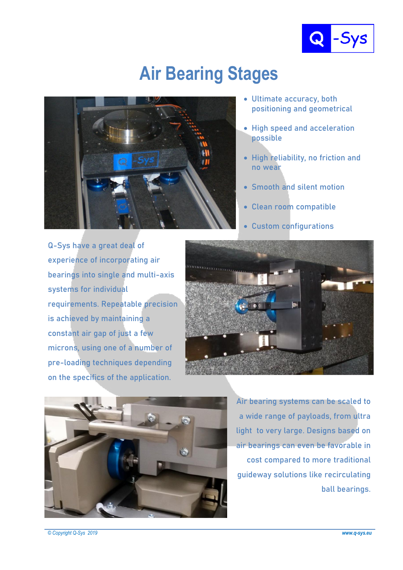

## **Air Bearing Stages**



- **Ultimate accuracy, both positioning and geometrical**
- **High speed and acceleration possible**
- **High reliability, no friction and no wear**
- **Smooth and silent motion**
- **Clean room compatible**
- **Custom configurations**

**Q-Sys have a great deal of experience of incorporating air bearings into single and multi-axis systems for individual requirements. Repeatable precision is achieved by maintaining a constant air gap of just a few microns, using one of a number of pre-loading techniques depending on the specifics of the application.**





**Air bearing systems can be scaled to a wide range of payloads, from ultra light to very large. Designs based on air bearings can even be favorable in cost compared to more traditional guideway solutions like recirculating ball bearings.** 

*© Copyright Q-Sys 2019 www.q-sys.eu*